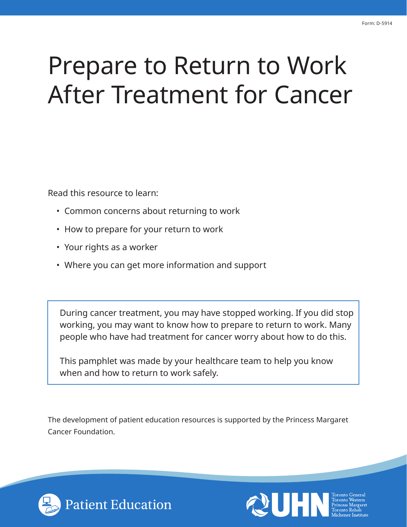# Prepare to Return to Work After Treatment for Cancer

Read this resource to learn:

- Common concerns about returning to work
- How to prepare for your return to work
- Your rights as a worker
- Where you can get more information and support

During cancer treatment, you may have stopped working. If you did stop working, you may want to know how to prepare to return to work. Many people who have had treatment for cancer worry about how to do this.

This pamphlet was made by your healthcare team to help you know when and how to return to work safely.

The development of patient education resources is supported by the Princess Margaret Cancer Foundation.





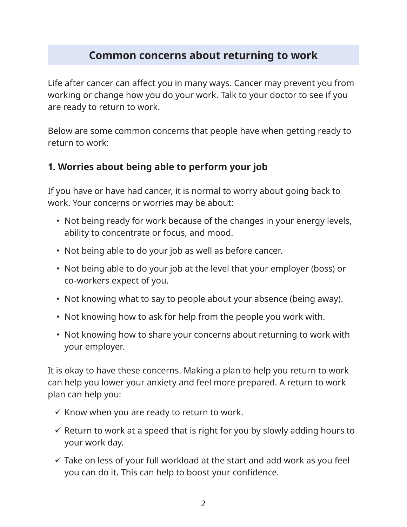## **Common concerns about returning to work**

Life after cancer can affect you in many ways. Cancer may prevent you from working or change how you do your work. Talk to your doctor to see if you are ready to return to work.

Below are some common concerns that people have when getting ready to return to work:

#### **1. Worries about being able to perform your job**

If you have or have had cancer, it is normal to worry about going back to work. Your concerns or worries may be about:

- Not being ready for work because of the changes in your energy levels, ability to concentrate or focus, and mood.
- Not being able to do your job as well as before cancer.
- Not being able to do your job at the level that your employer (boss) or co-workers expect of you.
- Not knowing what to say to people about your absence (being away).
- Not knowing how to ask for help from the people you work with.
- Not knowing how to share your concerns about returning to work with your employer.

It is okay to have these concerns. Making a plan to help you return to work can help you lower your anxiety and feel more prepared. A return to work plan can help you:

- $\checkmark$  Know when you are ready to return to work.
- $\checkmark$  Return to work at a speed that is right for you by slowly adding hours to your work day.
- $\checkmark$  Take on less of your full workload at the start and add work as you feel you can do it. This can help to boost your confidence.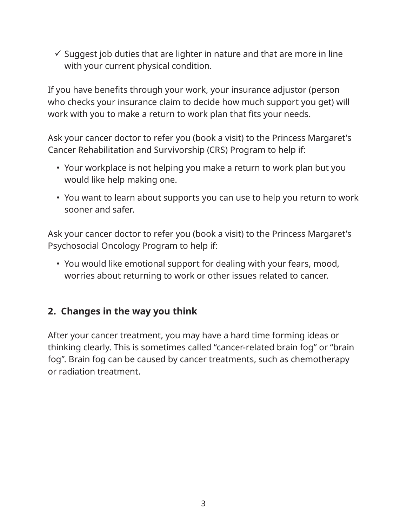$\checkmark$  Suggest job duties that are lighter in nature and that are more in line with your current physical condition.

If you have benefits through your work, your insurance adjustor (person who checks your insurance claim to decide how much support you get) will work with you to make a return to work plan that fits your needs.

Ask your cancer doctor to refer you (book a visit) to the Princess Margaret's Cancer Rehabilitation and Survivorship (CRS) Program to help if:

- Your workplace is not helping you make a return to work plan but you would like help making one.
- You want to learn about supports you can use to help you return to work sooner and safer.

Ask your cancer doctor to refer you (book a visit) to the Princess Margaret's Psychosocial Oncology Program to help if:

• You would like emotional support for dealing with your fears, mood, worries about returning to work or other issues related to cancer.

#### **2. Changes in the way you think**

After your cancer treatment, you may have a hard time forming ideas or thinking clearly. This is sometimes called "cancer-related brain fog" or "brain fog". Brain fog can be caused by cancer treatments, such as chemotherapy or radiation treatment.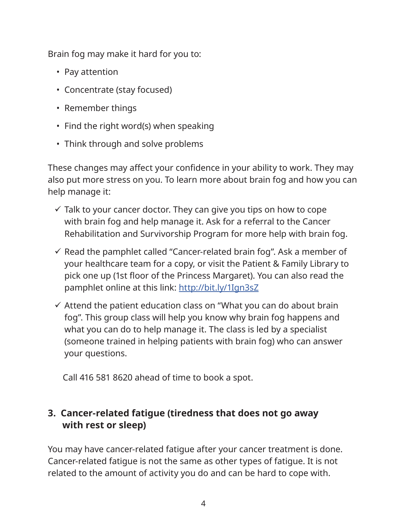Brain fog may make it hard for you to:

- Pay attention
- Concentrate (stay focused)
- Remember things
- Find the right word(s) when speaking
- Think through and solve problems

These changes may affect your confidence in your ability to work. They may also put more stress on you. To learn more about brain fog and how you can help manage it:

- $\checkmark$  Talk to your cancer doctor. They can give you tips on how to cope with brain fog and help manage it. Ask for a referral to the Cancer Rehabilitation and Survivorship Program for more help with brain fog.
- $\checkmark$  Read the pamphlet called "Cancer-related brain fog". Ask a member of your healthcare team for a copy, or visit the Patient & Family Library to pick one up (1st floor of the Princess Margaret). You can also read the pamphlet online at this link:<http://bit.ly/1Ign3sZ>
- $\checkmark$  Attend the patient education class on "What you can do about brain fog". This group class will help you know why brain fog happens and what you can do to help manage it. The class is led by a specialist (someone trained in helping patients with brain fog) who can answer your questions.

Call 416 581 8620 ahead of time to book a spot.

## **3. Cancer-related fatigue (tiredness that does not go away with rest or sleep)**

You may have cancer-related fatigue after your cancer treatment is done. Cancer-related fatigue is not the same as other types of fatigue. It is not related to the amount of activity you do and can be hard to cope with.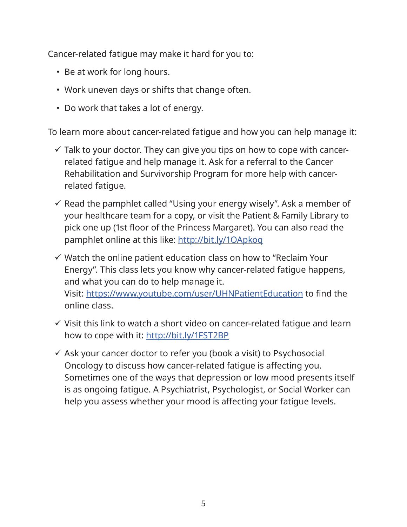Cancer-related fatigue may make it hard for you to:

- Be at work for long hours.
- Work uneven days or shifts that change often.
- Do work that takes a lot of energy.

To learn more about cancer-related fatigue and how you can help manage it:

- $\checkmark$  Talk to your doctor. They can give you tips on how to cope with cancerrelated fatigue and help manage it. Ask for a referral to the Cancer Rehabilitation and Survivorship Program for more help with cancerrelated fatigue.
- $\checkmark$  Read the pamphlet called "Using your energy wisely". Ask a member of your healthcare team for a copy, or visit the Patient & Family Library to pick one up (1st floor of the Princess Margaret). You can also read the pamphlet online at this like: [http://bit.ly/1OApkoq](https://www.uhn.ca/PatientsFamilies/Health_Information/Health_Topics/Documents/Using_Your_Energy_Wisely_Cancer_Related_Fatigue.pdf)
- $\checkmark$  Watch the online patient education class on how to "Reclaim Your Energy". This class lets you know why cancer-related fatigue happens, and what you can do to help manage it. Visit: <https://www.youtube.com/user/UHNPatientEducation> to find the online class.
- $\checkmark$  Visit this link to watch a short video on cancer-related fatigue and learn how to cope with it: <http://bit.ly/1FST2BP>
- $\checkmark$  Ask your cancer doctor to refer you (book a visit) to Psychosocial Oncology to discuss how cancer-related fatigue is affecting you. Sometimes one of the ways that depression or low mood presents itself is as ongoing fatigue. A Psychiatrist, Psychologist, or Social Worker can help you assess whether your mood is affecting your fatigue levels.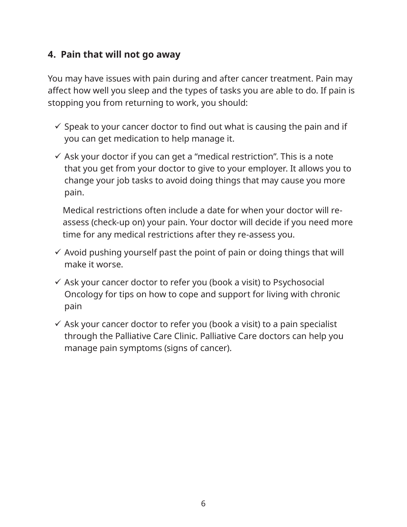#### **4. Pain that will not go away**

You may have issues with pain during and after cancer treatment. Pain may affect how well you sleep and the types of tasks you are able to do. If pain is stopping you from returning to work, you should:

- $\checkmark$  Speak to your cancer doctor to find out what is causing the pain and if you can get medication to help manage it.
- $\checkmark$  Ask your doctor if you can get a "medical restriction". This is a note that you get from your doctor to give to your employer. It allows you to change your job tasks to avoid doing things that may cause you more pain.

Medical restrictions often include a date for when your doctor will reassess (check-up on) your pain. Your doctor will decide if you need more time for any medical restrictions after they re-assess you.

- $\checkmark$  Avoid pushing yourself past the point of pain or doing things that will make it worse.
- $\checkmark$  Ask your cancer doctor to refer you (book a visit) to Psychosocial Oncology for tips on how to cope and support for living with chronic pain
- $\checkmark$  Ask your cancer doctor to refer you (book a visit) to a pain specialist through the Palliative Care Clinic. Palliative Care doctors can help you manage pain symptoms (signs of cancer).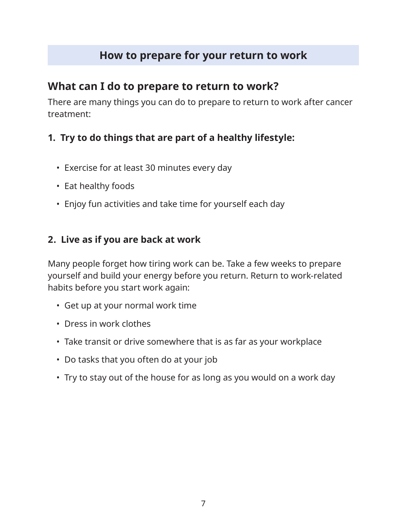## **How to prepare for your return to work**

## **What can I do to prepare to return to work?**

There are many things you can do to prepare to return to work after cancer treatment:

## **1. Try to do things that are part of a healthy lifestyle:**

- Exercise for at least 30 minutes every day
- Eat healthy foods
- Enjoy fun activities and take time for yourself each day

## **2. Live as if you are back at work**

Many people forget how tiring work can be. Take a few weeks to prepare yourself and build your energy before you return. Return to work-related habits before you start work again:

- Get up at your normal work time
- Dress in work clothes
- Take transit or drive somewhere that is as far as your workplace
- Do tasks that you often do at your job
- Try to stay out of the house for as long as you would on a work day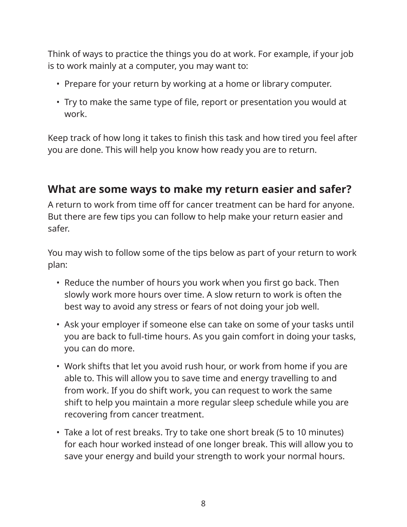Think of ways to practice the things you do at work. For example, if your job is to work mainly at a computer, you may want to:

- Prepare for your return by working at a home or library computer.
- Try to make the same type of file, report or presentation you would at work.

Keep track of how long it takes to finish this task and how tired you feel after you are done. This will help you know how ready you are to return.

## **What are some ways to make my return easier and safer?**

A return to work from time off for cancer treatment can be hard for anyone. But there are few tips you can follow to help make your return easier and safer.

You may wish to follow some of the tips below as part of your return to work plan:

- Reduce the number of hours you work when you first go back. Then slowly work more hours over time. A slow return to work is often the best way to avoid any stress or fears of not doing your job well.
- Ask your employer if someone else can take on some of your tasks until you are back to full-time hours. As you gain comfort in doing your tasks, you can do more.
- Work shifts that let you avoid rush hour, or work from home if you are able to. This will allow you to save time and energy travelling to and from work. If you do shift work, you can request to work the same shift to help you maintain a more regular sleep schedule while you are recovering from cancer treatment.
- Take a lot of rest breaks. Try to take one short break (5 to 10 minutes) for each hour worked instead of one longer break. This will allow you to save your energy and build your strength to work your normal hours.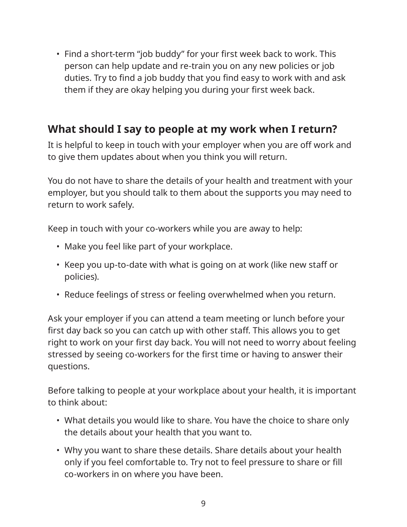• Find a short-term "job buddy" for your first week back to work. This person can help update and re-train you on any new policies or job duties. Try to find a job buddy that you find easy to work with and ask them if they are okay helping you during your first week back.

## **What should I say to people at my work when I return?**

It is helpful to keep in touch with your employer when you are off work and to give them updates about when you think you will return.

You do not have to share the details of your health and treatment with your employer, but you should talk to them about the supports you may need to return to work safely.

Keep in touch with your co-workers while you are away to help:

- Make you feel like part of your workplace.
- Keep you up-to-date with what is going on at work (like new staff or policies).
- Reduce feelings of stress or feeling overwhelmed when you return.

Ask your employer if you can attend a team meeting or lunch before your first day back so you can catch up with other staff. This allows you to get right to work on your first day back. You will not need to worry about feeling stressed by seeing co-workers for the first time or having to answer their questions.

Before talking to people at your workplace about your health, it is important to think about:

- What details you would like to share. You have the choice to share only the details about your health that you want to.
- Why you want to share these details. Share details about your health only if you feel comfortable to. Try not to feel pressure to share or fill co-workers in on where you have been.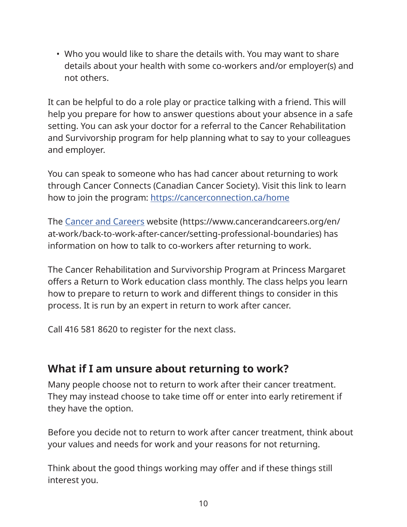• Who you would like to share the details with. You may want to share details about your health with some co-workers and/or employer(s) and not others.

It can be helpful to do a role play or practice talking with a friend. This will help you prepare for how to answer questions about your absence in a safe setting. You can ask your doctor for a referral to the Cancer Rehabilitation and Survivorship program for help planning what to say to your colleagues and employer.

You can speak to someone who has had cancer about returning to work through Cancer Connects (Canadian Cancer Society). Visit this link to learn how to join the program: <https://cancerconnection.ca/home>

The [Cancer and Careers](https://www.cancerandcareers.org/en/at-work/back-to-work-after-cancer/setting-professional-boundaries) website (https://www.cancerandcareers.org/en/ at-work/back-to-work-after-cancer/setting-professional-boundaries) has information on how to talk to co-workers after returning to work.

The Cancer Rehabilitation and Survivorship Program at Princess Margaret offers a Return to Work education class monthly. The class helps you learn how to prepare to return to work and different things to consider in this process. It is run by an expert in return to work after cancer.

Call 416 581 8620 to register for the next class.

## **What if I am unsure about returning to work?**

Many people choose not to return to work after their cancer treatment. They may instead choose to take time off or enter into early retirement if they have the option.

Before you decide not to return to work after cancer treatment, think about your values and needs for work and your reasons for not returning.

Think about the good things working may offer and if these things still interest you.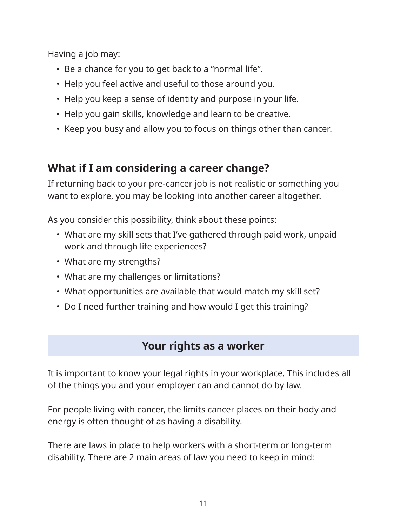Having a job may:

- Be a chance for you to get back to a "normal life".
- Help you feel active and useful to those around you.
- Help you keep a sense of identity and purpose in your life.
- Help you gain skills, knowledge and learn to be creative.
- Keep you busy and allow you to focus on things other than cancer.

## **What if I am considering a career change?**

If returning back to your pre-cancer job is not realistic or something you want to explore, you may be looking into another career altogether.

As you consider this possibility, think about these points:

- What are my skill sets that I've gathered through paid work, unpaid work and through life experiences?
- What are my strengths?
- What are my challenges or limitations?
- What opportunities are available that would match my skill set?
- Do I need further training and how would I get this training?

## **Your rights as a worker**

It is important to know your legal rights in your workplace. This includes all of the things you and your employer can and cannot do by law.

For people living with cancer, the limits cancer places on their body and energy is often thought of as having a disability.

There are laws in place to help workers with a short-term or long-term disability. There are 2 main areas of law you need to keep in mind: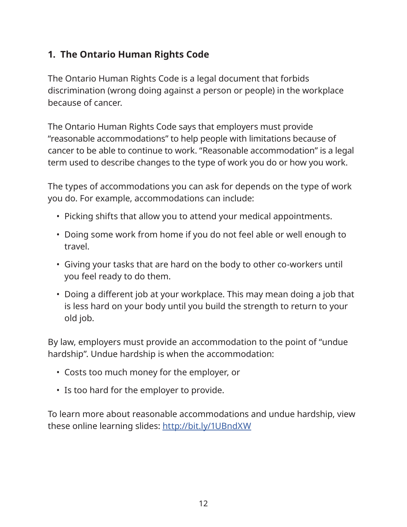## **1. The Ontario Human Rights Code**

The Ontario Human Rights Code is a legal document that forbids discrimination (wrong doing against a person or people) in the workplace because of cancer.

The Ontario Human Rights Code says that employers must provide "reasonable accommodations" to help people with limitations because of cancer to be able to continue to work. "Reasonable accommodation" is a legal term used to describe changes to the type of work you do or how you work.

The types of accommodations you can ask for depends on the type of work you do. For example, accommodations can include:

- Picking shifts that allow you to attend your medical appointments.
- Doing some work from home if you do not feel able or well enough to travel.
- Giving your tasks that are hard on the body to other co-workers until you feel ready to do them.
- Doing a different job at your workplace. This may mean doing a job that is less hard on your body until you build the strength to return to your old job.

By law, employers must provide an accommodation to the point of "undue hardship". Undue hardship is when the accommodation:

- Costs too much money for the employer, or
- Is too hard for the employer to provide.

To learn more about reasonable accommodations and undue hardship, view these online learning slides: <http://bit.ly/1UBndXW>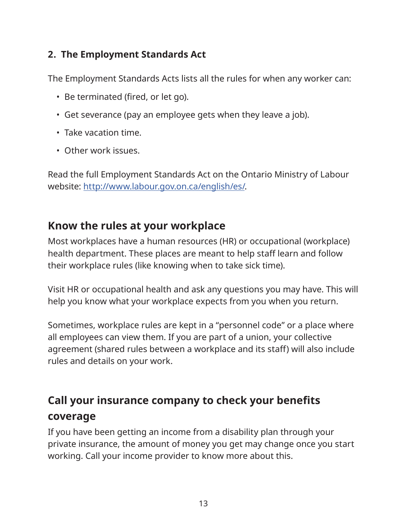## **2. The Employment Standards Act**

The Employment Standards Acts lists all the rules for when any worker can:

- Be terminated (fired, or let go).
- Get severance (pay an employee gets when they leave a job).
- Take vacation time.
- Other work issues.

Read the full Employment Standards Act on the Ontario Ministry of Labour website:<http://www.labour.gov.on.ca/english/es/>.

## **Know the rules at your workplace**

Most workplaces have a human resources (HR) or occupational (workplace) health department. These places are meant to help staff learn and follow their workplace rules (like knowing when to take sick time).

Visit HR or occupational health and ask any questions you may have. This will help you know what your workplace expects from you when you return.

Sometimes, workplace rules are kept in a "personnel code" or a place where all employees can view them. If you are part of a union, your collective agreement (shared rules between a workplace and its staff) will also include rules and details on your work.

# **Call your insurance company to check your benefits coverage**

If you have been getting an income from a disability plan through your private insurance, the amount of money you get may change once you start working. Call your income provider to know more about this.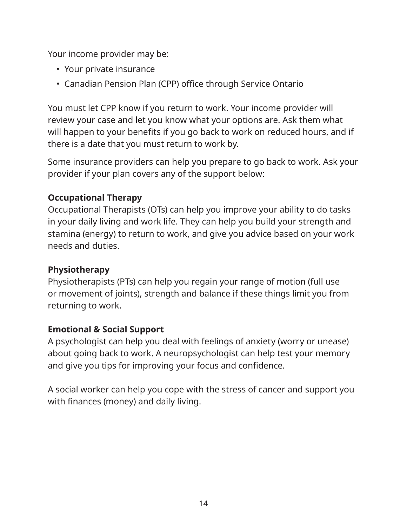Your income provider may be:

- Your private insurance
- Canadian Pension Plan (CPP) office through Service Ontario

You must let CPP know if you return to work. Your income provider will review your case and let you know what your options are. Ask them what will happen to your benefits if you go back to work on reduced hours, and if there is a date that you must return to work by.

Some insurance providers can help you prepare to go back to work. Ask your provider if your plan covers any of the support below:

#### **Occupational Therapy**

Occupational Therapists (OTs) can help you improve your ability to do tasks in your daily living and work life. They can help you build your strength and stamina (energy) to return to work, and give you advice based on your work needs and duties.

#### **Physiotherapy**

Physiotherapists (PTs) can help you regain your range of motion (full use or movement of joints), strength and balance if these things limit you from returning to work.

#### **Emotional & Social Support**

A psychologist can help you deal with feelings of anxiety (worry or unease) about going back to work. A neuropsychologist can help test your memory and give you tips for improving your focus and confidence.

A social worker can help you cope with the stress of cancer and support you with finances (money) and daily living.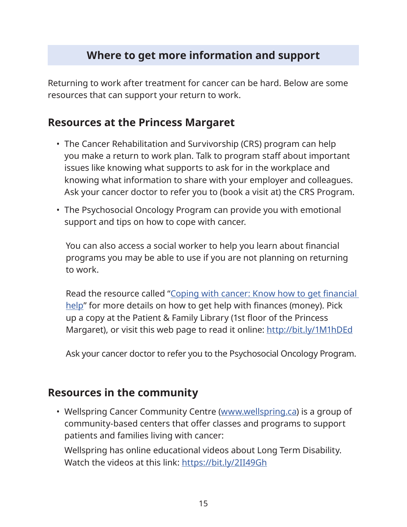## **Where to get more information and support**

Returning to work after treatment for cancer can be hard. Below are some resources that can support your return to work.

## **Resources at the Princess Margaret**

- The Cancer Rehabilitation and Survivorship (CRS) program can help you make a return to work plan. Talk to program staff about important issues like knowing what supports to ask for in the workplace and knowing what information to share with your employer and colleagues. Ask your cancer doctor to refer you to (book a visit at) the CRS Program.
- The Psychosocial Oncology Program can provide you with emotional support and tips on how to cope with cancer.

You can also access a social worker to help you learn about financial programs you may be able to use if you are not planning on returning to work.

Read the resource called "[Coping with cancer: Know how to get financial](https://www.uhn.ca/PatientsFamilies/Health_Information/Health_Topics/Documents/Coping_with_Cancer_Income_Assistance.pdf)  [help](https://www.uhn.ca/PatientsFamilies/Health_Information/Health_Topics/Documents/Coping_with_Cancer_Income_Assistance.pdf)" for more details on how to get help with finances (money). Pick up a copy at the Patient & Family Library (1st floor of the Princess Margaret), or visit this web page to read it [online: http://bit.ly/1M1hDEd](https://www.uhn.ca/PatientsFamilies/Health_Information/Health_Topics/Documents/Coping_with_Cancer_Income_Assistance.pdf)

Ask your cancer doctor to refer you to the Psychosocial Oncology Program.

## **Resources in the community**

• Wellspring Cancer Community Centre ([www.wellspring.ca](http://www.wellspring.ca)) is a group of community-based centers that offer classes and programs to support patients and families living with cancer:

Wellspring has online educational videos about Long Term Disability. Watch the videos at this link: <https://bit.ly/2II49Gh>